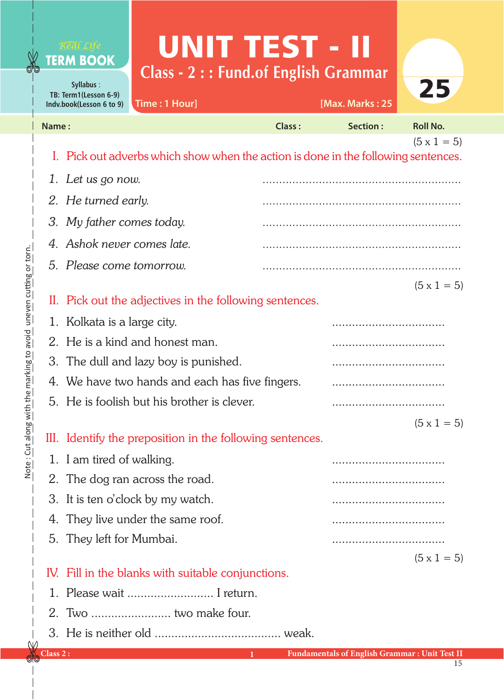## UNIT TEST - II **Class - 2 : : Fund.of English Grammar**

**Syllabus** : **TB: Term1(Lesson 6-9) Indv.book(Lesson 6 to 9)**

**TERM BOOK** 

**Time : 1 Hour] [Max. Marks : 25**



| Name: |                                                                                    | <b>Class:</b> | <b>Section:</b> | <b>Roll No.</b>    |
|-------|------------------------------------------------------------------------------------|---------------|-----------------|--------------------|
|       |                                                                                    |               |                 | $(5 \times 1 = 5)$ |
|       | I. Pick out adverbs which show when the action is done in the following sentences. |               |                 |                    |
|       | 1. Let us go now.                                                                  |               |                 |                    |
|       | 2. He turned early.                                                                |               |                 |                    |
|       | 3. My father comes today.                                                          |               |                 |                    |
|       | 4. Ashok never comes late.                                                         |               |                 |                    |
|       | 5. Please come tomorrow.                                                           |               |                 |                    |
|       |                                                                                    |               |                 | $(5 \times 1 = 5)$ |
|       | II. Pick out the adjectives in the following sentences.                            |               |                 |                    |
|       | 1. Kolkata is a large city.                                                        |               |                 |                    |
|       | 2. He is a kind and honest man.                                                    |               |                 |                    |
|       | 3. The dull and lazy boy is punished.                                              |               |                 |                    |
|       | 4. We have two hands and each has five fingers.                                    |               |                 |                    |
|       | 5. He is foolish but his brother is clever.                                        |               |                 |                    |
|       |                                                                                    |               |                 | $(5 \times 1 = 5)$ |
|       | III. Identify the preposition in the following sentences.                          |               |                 |                    |
|       | 1. I am tired of walking.                                                          |               |                 |                    |
|       | 2. The dog ran across the road.                                                    |               |                 |                    |
|       | 3. It is ten o'clock by my watch.                                                  |               |                 |                    |
|       | 4. They live under the same roof.                                                  |               |                 |                    |
|       | 5. They left for Mumbai.                                                           |               |                 |                    |
|       |                                                                                    |               |                 | $(5 \times 1 = 5)$ |
|       | IV. Fill in the blanks with suitable conjunctions.                                 |               |                 |                    |
|       | 1. Please wait  I return.                                                          |               |                 |                    |
|       | 2. Two  two make four.                                                             |               |                 |                    |
|       |                                                                                    |               |                 |                    |